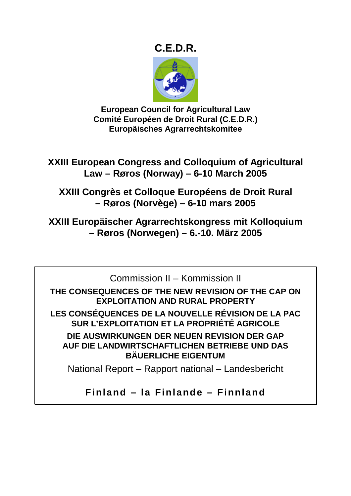# **C.E.D.R.**



**European Council for Agricultural Law Comité Européen de Droit Rural (C.E.D.R.) Europäisches Agrarrechtskomitee** 

**XXIII European Congress and Colloquium of Agricultural Law – Røros (Norway) – 6-10 March 2005** 

**XXIII Congrès et Colloque Européens de Droit Rural – Røros (Norvège) – 6-10 mars 2005** 

**XXIII Europäischer Agrarrechtskongress mit Kolloquium – Røros (Norwegen) – 6.-10. März 2005** 

Commission II – Kommission II **THE CONSEQUENCES OF THE NEW REVISION OF THE CAP ON EXPLOITATION AND RURAL PROPERTY LES CONSÉQUENCES DE LA NOUVELLE RÉVISION DE LA PAC SUR L'EXPLOITATION ET LA PROPRIÉTÉ AGRICOLE DIE AUSWIRKUNGEN DER NEUEN REVISION DER GAP AUF DIE LANDWIRTSCHAFTLICHEN BETRIEBE UND DAS BÄUERLICHE EIGENTUM** 

National Report – Rapport national – Landesbericht

**Finland – la Finlande – Finnland**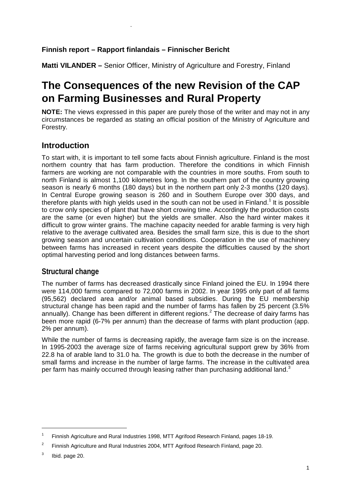#### **Finnish report – Rapport finlandais – Finnischer Bericht**

**Matti VILANDER –** Senior Officer, Ministry of Agriculture and Forestry, Finland

# **The Consequences of the new Revision of the CAP on Farming Businesses and Rural Property**

**NOTE:** The views expressed in this paper are purely those of the writer and may not in any circumstances be regarded as stating an official position of the Ministry of Agriculture and Forestry.

# **Introduction**

.

To start with, it is important to tell some facts about Finnish agriculture. Finland is the most northern country that has farm production. Therefore the conditions in which Finnish farmers are working are not comparable with the countries in more souths. From south to north Finland is almost 1,100 kilometres long. In the southern part of the country growing season is nearly 6 months (180 days) but in the northern part only 2-3 months (120 days). In Central Europe growing season is 260 and in Southern Europe over 300 days, and therefore plants with high yields used in the south can not be used in Finland.<sup>1</sup> It is possible to crow only species of plant that have short crowing time. Accordingly the production costs are the same (or even higher) but the yields are smaller. Also the hard winter makes it difficult to grow winter grains. The machine capacity needed for arable farming is very high relative to the average cultivated area. Besides the small farm size, this is due to the short growing season and uncertain cultivation conditions. Cooperation in the use of machinery between farms has increased in recent years despite the difficulties caused by the short optimal harvesting period and long distances between farms.

#### **Structural change**

The number of farms has decreased drastically since Finland joined the EU. In 1994 there were 114,000 farms compared to 72,000 farms in 2002. In year 1995 only part of all farms (95,562) declared area and/or animal based subsidies. During the EU membership structural change has been rapid and the number of farms has fallen by 25 percent (3.5% annually). Change has been different in different regions.<sup>2</sup> The decrease of dairy farms has been more rapid (6-7% per annum) than the decrease of farms with plant production (app. 2% per annum).

While the number of farms is decreasing rapidly, the average farm size is on the increase. In 1995-2003 the average size of farms receiving agricultural support grew by 36% from 22.8 ha of arable land to 31.0 ha. The growth is due to both the decrease in the number of small farms and increase in the number of large farms. The increase in the cultivated area per farm has mainly occurred through leasing rather than purchasing additional land. $3$ 

<sup>1</sup> Finnish Agriculture and Rural Industries 1998, MTT Agrifood Research Finland, pages 18-19.

 $\overline{2}$ Finnish Agriculture and Rural Industries 2004, MTT Agrifood Research Finland, page 20.

<sup>3</sup> Ibid. page 20.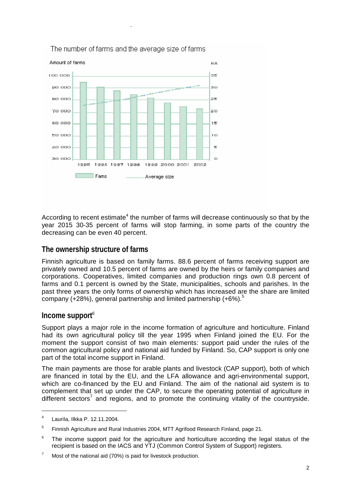

According to recent estimate<sup>4</sup> the number of farms will decrease continuously so that by the year 2015 30-35 percent of farms will stop farming, in some parts of the country the decreasing can be even 40 percent.

#### **The ownership structure of farms**

.

Finnish agriculture is based on family farms. 88.6 percent of farms receiving support are privately owned and 10.5 percent of farms are owned by the heirs or family companies and corporations. Cooperatives, limited companies and production rings own 0.8 percent of farms and 0.1 percent is owned by the State, municipalities, schools and parishes. In the past three years the only forms of ownership which has increased are the share are limited company (+28%), general partnership and limited partnership  $(+6%)$ .<sup>5</sup>

#### **Income support**<sup>6</sup>

Support plays a major role in the income formation of agriculture and horticulture. Finland had its own agricultural policy till the year 1995 when Finland joined the EU. For the moment the support consist of two main elements: support paid under the rules of the common agricultural policy and national aid funded by Finland. So, CAP support is only one part of the total income support in Finland.

The main payments are those for arable plants and livestock (CAP support), both of which are financed in total by the EU, and the LFA allowance and agri-environmental support, which are co-financed by the EU and Finland. The aim of the national aid system is to complement that set up under the CAP, to secure the operating potential of agriculture in different sectors<sup>7</sup> and regions, and to promote the continuing vitality of the countryside.

-

<sup>4</sup> Laurila, Ilkka P. 12.11.2004.

<sup>5</sup> Finnish Agriculture and Rural Industries 2004, MTT Agrifood Research Finland, page 21.

 $6$  The income support paid for the agriculture and horticulture according the legal status of the recipient is based on the IACS and YTJ (Common Control System of Support) registers.

<sup>7</sup> Most of the national aid (70%) is paid for livestock production.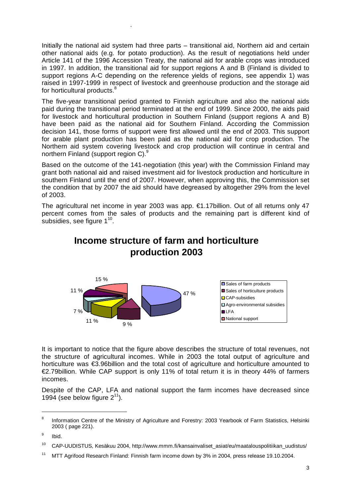Initially the national aid system had three parts – transitional aid, Northern aid and certain other national aids (e.g. for potato production). As the result of negotiations held under Article 141 of the 1996 Accession Treaty, the national aid for arable crops was introduced in 1997. In addition, the transitional aid for support regions A and B (Finland is divided to support regions A-C depending on the reference yields of regions, see appendix 1) was raised in 1997-1999 in respect of livestock and greenhouse production and the storage aid for horticultural products.<sup>8</sup>

.

The five-year transitional period granted to Finnish agriculture and also the national aids paid during the transitional period terminated at the end of 1999. Since 2000, the aids paid for livestock and horticultural production in Southern Finland (support regions A and B) have been paid as the national aid for Southern Finland. According the Commission decision 141, those forms of support were first allowed until the end of 2003. This support for arable plant production has been paid as the national aid for crop production. The Northern aid system covering livestock and crop production will continue in central and northern Finland (support region C).<sup>9</sup>

Based on the outcome of the 141-negotiation (this year) with the Commission Finland may grant both national aid and raised investment aid for livestock production and horticulture in southern Finland until the end of 2007. However, when approving this, the Commission set the condition that by 2007 the aid should have degreased by altogether 29% from the level of 2003.

The agricultural net income in year 2003 was app. €1.17billion. Out of all returns only 47 percent comes from the sales of products and the remaining part is different kind of subsidies, see figure  $1^{10}$ .

# **Income structure of farm and horticulture production 2003**



It is important to notice that the figure above describes the structure of total revenues, not the structure of agricultural incomes. While in 2003 the total output of agriculture and horticulture was €3.96billion and the total cost of agriculture and horticulture amounted to €2.79billion. While CAP support is only 11% of total return it is in theory 44% of farmers incomes.

Despite of the CAP, LFA and national support the farm incomes have decreased since 1994 (see below figure  $2^{11}$ ).

 $\overline{a}$ 

<sup>8</sup> Information Centre of the Ministry of Agriculture and Forestry: 2003 Yearbook of Farm Statistics, Helsinki 2003 ( page 221).

<sup>9</sup> Ibid.

<sup>10</sup> CAP-UUDISTUS, Kesäkuu 2004, http://www.mmm.fi/kansainvaliset\_asiat/eu/maatalouspolitiikan\_uudistus/

<sup>&</sup>lt;sup>11</sup> MTT Agrifood Research Finland: Finnish farm income down by 3% in 2004, press release 19,10,2004.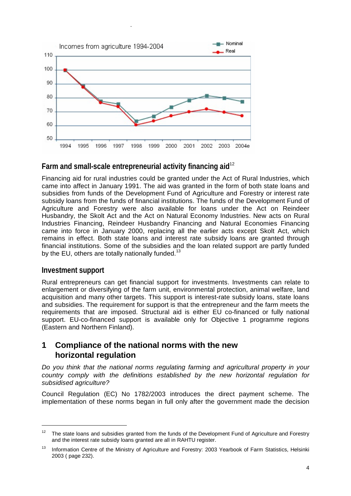

#### **Farm and small-scale entrepreneurial activity financing aid**<sup>12</sup>

Financing aid for rural industries could be granted under the Act of Rural Industries, which came into affect in January 1991. The aid was granted in the form of both state loans and subsidies from funds of the Development Fund of Agriculture and Forestry or interest rate subsidy loans from the funds of financial institutions. The funds of the Development Fund of Agriculture and Forestry were also available for loans under the Act on Reindeer Husbandry, the Skolt Act and the Act on Natural Economy Industries. New acts on Rural Industries Financing, Reindeer Husbandry Financing and Natural Economies Financing came into force in January 2000, replacing all the earlier acts except Skolt Act, which remains in effect. Both state loans and interest rate subsidy loans are granted through financial institutions. Some of the subsidies and the loan related support are partly funded by the EU, others are totally nationally funded.<sup>13</sup>

#### **Investment support**

 $\overline{a}$ 

.

Rural entrepreneurs can get financial support for investments. Investments can relate to enlargement or diversifying of the farm unit, environmental protection, animal welfare, land acquisition and many other targets. This support is interest-rate subsidy loans, state loans and subsidies. The requirement for support is that the entrepreneur and the farm meets the requirements that are imposed. Structural aid is either EU co-financed or fully national support. EU-co-financed support is available only for Objective 1 programme regions (Eastern and Northern Finland).

#### **1 Compliance of the national norms with the new horizontal regulation**

*Do you think that the national norms regulating farming and agricultural property in your country comply with the definitions established by the new horizontal regulation for subsidised agriculture?* 

Council Regulation (EC) No 1782/2003 introduces the direct payment scheme. The implementation of these norms began in full only after the government made the decision

 $12$  The state loans and subsidies granted from the funds of the Development Fund of Agriculture and Forestry and the interest rate subsidy loans granted are all in RAHTU register.

<sup>&</sup>lt;sup>13</sup> Information Centre of the Ministry of Agriculture and Forestry: 2003 Yearbook of Farm Statistics, Helsinki 2003 ( page 232).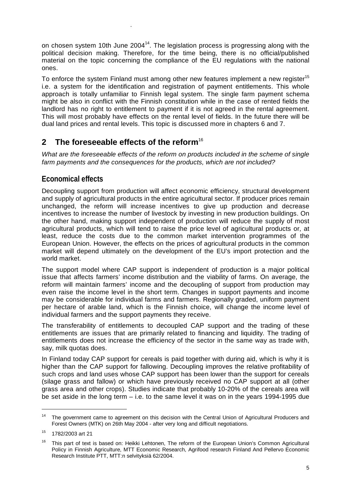on chosen system 10th June 2004<sup>14</sup>. The legislation process is progressing along with the political decision making. Therefore, for the time being, there is no official/published material on the topic concerning the compliance of the EU regulations with the national ones.

To enforce the system Finland must among other new features implement a new register<sup>15</sup> i.e. a system for the identification and registration of payment entitlements. This whole approach is totally unfamiliar to Finnish legal system. The single farm payment schema might be also in conflict with the Finnish constitution while in the case of rented fields the landlord has no right to entitlement to payment if it is not agreed in the rental agreement. This will most probably have effects on the rental level of fields. In the future there will be dual land prices and rental levels. This topic is discussed more in chapters 6 and 7.

# **2 The foreseeable effects of the reform**<sup>16</sup>

*What are the foreseeable effects of the reform on products included in the scheme of single farm payments and the consequences for the products, which are not included?* 

#### **Economical effects**

.

Decoupling support from production will affect economic efficiency, structural development and supply of agricultural products in the entire agricultural sector. If producer prices remain unchanged, the reform will increase incentives to give up production and decrease incentives to increase the number of livestock by investing in new production buildings. On the other hand, making support independent of production will reduce the supply of most agricultural products, which will tend to raise the price level of agricultural products or, at least, reduce the costs due to the common market intervention programmes of the European Union. However, the effects on the prices of agricultural products in the common market will depend ultimately on the development of the EU's import protection and the world market.

The support model where CAP support is independent of production is a major political issue that affects farmers' income distribution and the viability of farms. On average, the reform will maintain farmers' income and the decoupling of support from production may even raise the income level in the short term. Changes in support payments and income may be considerable for individual farms and farmers. Regionally graded, uniform payment per hectare of arable land, which is the Finnish choice, will change the income level of individual farmers and the support payments they receive.

The transferability of entitlements to decoupled CAP support and the trading of these entitlements are issues that are primarily related to financing and liquidity. The trading of entitlements does not increase the efficiency of the sector in the same way as trade with, say, milk quotas does.

In Finland today CAP support for cereals is paid together with during aid, which is why it is higher than the CAP support for fallowing. Decoupling improves the relative profitability of such crops and land uses whose CAP support has been lower than the support for cereals (silage grass and fallow) or which have previously received no CAP support at all (other grass area and other crops). Studies indicate that probably 10-20% of the cereals area will be set aside in the long term – i.e. to the same level it was on in the years 1994-1995 due

<sup>&</sup>lt;sup>14</sup> The government came to agreement on this decision with the Central Union of Agricultural Producers and Forest Owners (MTK) on 26th May 2004 - after very long and difficult negotiations.

<sup>15 1782/2003</sup> art 21

<sup>&</sup>lt;sup>16</sup> This part of text is based on: Heikki Lehtonen, The reform of the European Union's Common Agricultural Policy in Finnish Agriculture, MTT Economic Research, Agrifood research Finland And Pellervo Economic Research Institute PTT, MTT:n selvityksiä 62/2004.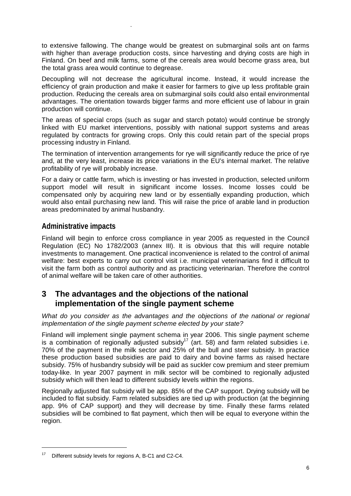to extensive fallowing. The change would be greatest on submarginal soils ant on farms with higher than average production costs, since harvesting and drying costs are high in Finland. On beef and milk farms, some of the cereals area would become grass area, but the total grass area would continue to degrease.

Decoupling will not decrease the agricultural income. Instead, it would increase the efficiency of grain production and make it easier for farmers to give up less profitable grain production. Reducing the cereals area on submarginal soils could also entail environmental advantages. The orientation towards bigger farms and more efficient use of labour in grain production will continue.

The areas of special crops (such as sugar and starch potato) would continue be strongly linked with EU market interventions, possibly with national support systems and areas regulated by contracts for growing crops. Only this could retain part of the special props processing industry in Finland.

The termination of intervention arrangements for rye will significantly reduce the price of rye and, at the very least, increase its price variations in the EU's internal market. The relative profitability of rye will probably increase.

For a dairy or cattle farm, which is investing or has invested in production, selected uniform support model will result in significant income losses. Income losses could be compensated only by acquiring new land or by essentially expanding production, which would also entail purchasing new land. This will raise the price of arable land in production areas predominated by animal husbandry.

#### **Administrative impacts**

.

Finland will begin to enforce cross compliance in year 2005 as requested in the Council Regulation (EC) No 1782/2003 (annex III). It is obvious that this will require notable investments to management. One practical inconvenience is related to the control of animal welfare: best experts to carry out control visit i.e. municipal veterinarians find it difficult to visit the farm both as control authority and as practicing veterinarian. Therefore the control of animal welfare will be taken care of other authorities.

# **3 The advantages and the objections of the national implementation of the single payment scheme**

*What do you consider as the advantages and the objections of the national or regional implementation of the single payment scheme elected by your state?* 

Finland will implement single payment schema in year 2006. This single payment scheme is a combination of regionally adjusted subsidy<sup>17</sup> (art. 58) and farm related subsidies i.e. 70% of the payment in the milk sector and 25% of the bull and steer subsidy. In practice these production based subsidies are paid to dairy and bovine farms as raised hectare subsidy. 75% of husbandry subsidy will be paid as suckler cow premium and steer premium today-like. In year 2007 payment in milk sector will be combined to regionally adjusted subsidy which will then lead to different subsidy levels within the regions.

Regionally adjusted flat subsidy will be app. 85% of the CAP support. Drying subsidy will be included to flat subsidy. Farm related subsidies are tied up with production (at the beginning app. 9% of CAP support) and they will decrease by time. Finally these farms related subsidies will be combined to flat payment, which then will be equal to everyone within the region.

<sup>&</sup>lt;sup>17</sup> Different subsidy levels for regions A, B-C1 and C2-C4.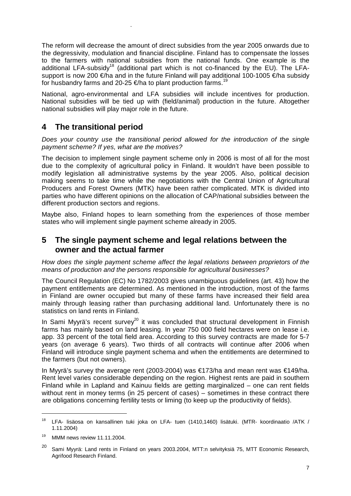The reform will decrease the amount of direct subsidies from the year 2005 onwards due to the degressivity, modulation and financial discipline. Finland has to compensate the losses to the farmers with national subsidies from the national funds. One example is the additional LFA-subsidy<sup>18</sup> (additional part which is not co-financed by the EU). The LFAsupport is now 200 €/ha and in the future Finland will pay additional 100-1005 €/ha subsidy for husbandry farms and 20-25  $\epsilon$ /ha to plant production farms.<sup>19</sup>

National, agro-environmental and LFA subsidies will include incentives for production. National subsidies will be tied up with (field/animal) production in the future. Altogether national subsidies will play major role in the future.

# **4 The transitional period**

.

*Does your country use the transitional period allowed for the introduction of the single payment scheme? If yes, what are the motives?* 

The decision to implement single payment scheme only in 2006 is most of all for the most due to the complexity of agricultural policy in Finland. It wouldn't have been possible to modify legislation all administrative systems by the year 2005. Also, political decision making seems to take time while the negotiations with the Central Union of Agricultural Producers and Forest Owners (MTK) have been rather complicated. MTK is divided into parties who have different opinions on the allocation of CAP/national subsidies between the different production sectors and regions.

Maybe also, Finland hopes to learn something from the experiences of those member states who will implement single payment scheme already in 2005.

#### **5 The single payment scheme and legal relations between the owner and the actual farmer**

*How does the single payment scheme affect the legal relations between proprietors of the means of production and the persons responsible for agricultural businesses?* 

The Council Regulation (EC) No 1782/2003 gives unambiguous guidelines (art. 43) how the payment entitlements are determined. As mentioned in the introduction, most of the farms in Finland are owner occupied but many of these farms have increased their field area mainly through leasing rather than purchasing additional land. Unfortunately there is no statistics on land rents in Finland.

In Sami Myyrä's recent survey<sup>20</sup> it was concluded that structural development in Finnish farms has mainly based on land leasing. In year 750 000 field hectares were on lease i.e. app. 33 percent of the total field area. According to this survey contracts are made for 5-7 years (on average 6 years). Two thirds of all contracts will continue after 2006 when Finland will introduce single payment schema and when the entitlements are determined to the farmers (but not owners).

In Myyrä's survey the average rent (2003-2004) was €173/ha and mean rent was €149/ha. Rent level varies considerable depending on the region. Highest rents are paid in southern Finland while in Lapland and Kainuu fields are getting marginalized – one can rent fields without rent in money terms (in 25 percent of cases) – sometimes in these contract there are obligations concerning fertility tests or liming (to keep up the productivity of fields).

<sup>18</sup> LFA- lisäosa on kansallinen tuki joka on LFA- tuen (1410,1460) lisätuki. (MTR- koordinaatio /ATK / 1.11.2004)

<sup>19</sup> MMM news review 11.11.2004.

<sup>20</sup> Sami Myyrä: Land rents in Finland on years 2003.2004, MTT:n selvityksiä 75, MTT Economic Research, Agrifood Research Finland.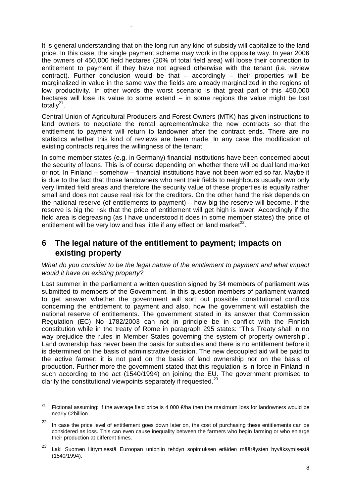It is general understanding that on the long run any kind of subsidy will capitalize to the land price. In this case, the single payment scheme may work in the opposite way. In year 2006 the owners of 450,000 field hectares (20% of total field area) will loose their connection to entitlement to payment if they have not agreed otherwise with the tenant (i.e. review contract). Further conclusion would be that – accordingly – their properties will be marginalized in value in the same way the fields are already marginalized in the regions of low productivity. In other words the worst scenario is that great part of this 450,000 hectares will lose its value to some extend – in some regions the value might be lost totally $2^1$ .

.

Central Union of Agricultural Producers and Forest Owners (MTK) has given instructions to land owners to negotiate the rental agreement/make the new contracts so that the entitlement to payment will return to landowner after the contract ends. There are no statistics whether this kind of reviews are been made. In any case the modification of existing contracts requires the willingness of the tenant.

In some member states (e.g. in Germany) financial institutions have been concerned about the security of loans. This is of course depending on whether there will be dual land market or not. In Finland – somehow – financial institutions have not been worried so far. Maybe it is due to the fact that those landowners who rent their fields to neighbours usually own only very limited field areas and therefore the security value of these properties is equally rather small and does not cause real risk for the creditors. On the other hand the risk depends on the national reserve (of entitlements to payment) – how big the reserve will become. If the reserve is big the risk that the price of entitlement will get high is lower. Accordingly if the field area is degreasing (as I have understood it does in some member states) the price of entitlement will be very low and has little if any effect on land market<sup>22</sup>.

## **6 The legal nature of the entitlement to payment; impacts on existing property**

*What do you consider to be the legal nature of the entitlement to payment and what impact would it have on existing property?* 

Last summer in the parliament a written question signed by 34 members of parliament was submitted to members of the Government. In this question members of parliament wanted to get answer whether the government will sort out possible constitutional conflicts concerning the entitlement to payment and also, how the government will establish the national reserve of entitlements. The government stated in its answer that Commission Regulation (EC) No 1782/2003 can not in principle be in conflict with the Finnish constitution while in the treaty of Rome in paragraph 295 states: "This Treaty shall in no way prejudice the rules in Member States governing the system of property ownership". Land ownership has never been the basis for subsidies and there is no entitlement before it is determined on the basis of administrative decision. The new decoupled aid will be paid to the active farmer; it is not paid on the basis of land ownership nor on the basis of production. Further more the government stated that this regulation is in force in Finland in such according to the act (1540/1994) on joining the EU. The government promised to clarify the constitutional viewpoints separately if requested.<sup>2</sup>

<sup>&</sup>lt;sup>21</sup> Fictional assuming: if the average field price is 4 000  $\epsilon$ /ha then the maximum loss for landowners would be nearly €2billion.

<sup>&</sup>lt;sup>22</sup> In case the price level of entitlement goes down later on, the cost of purchasing these entitlements can be considered as loss. This can even cause inequality between the farmers who begin farming or who enlarge their production at different times.

Laki Suomen liittymisestä Euroopan unioniin tehdyn sopimuksen eräiden määräysten hyväksymisestä (1540/1994).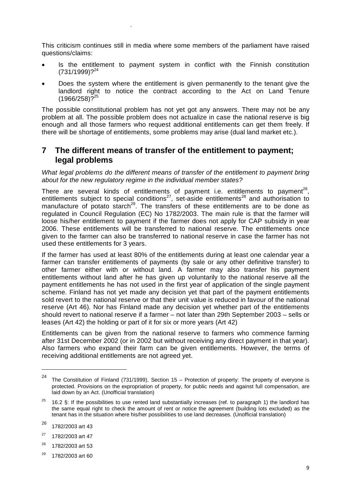This criticism continues still in media where some members of the parliament have raised questions/claims:

.

- Is the entitlement to payment system in conflict with the Finnish constitution  $(731/1999)^{24}$
- Does the system where the entitlement is given permanently to the tenant give the landlord right to notice the contract according to the Act on Land Tenure  $(1966/258)\cdot$ <sup>25</sup>

The possible constitutional problem has not yet got any answers. There may not be any problem at all. The possible problem does not actualize in case the national reserve is big enough and all those farmers who request additional entitlements can get them freely. If there will be shortage of entitlements, some problems may arise (dual land market etc.).

#### **7 The different means of transfer of the entitlement to payment; legal problems**

*What legal problems do the different means of transfer of the entitlement to payment bring about for the new regulatory regime in the individual member states?* 

There are several kinds of entitlements of payment i.e. entitlements to payment<sup>26</sup>, entitlements subject to special conditions<sup>27</sup>, set-aside entitlements<sup>28</sup> and authorisation to manufacture of potato starch<sup>29</sup>. The transfers of these entitlements are to be done as regulated in Council Regulation (EC) No 1782/2003. The main rule is that the farmer will loose his/her entitlement to payment if the farmer does not apply for CAP subsidy in year 2006. These entitlements will be transferred to national reserve. The entitlements once given to the farmer can also be transferred to national reserve in case the farmer has not used these entitlements for 3 years.

If the farmer has used at least 80% of the entitlements during at least one calendar year a farmer can transfer entitlements of payments (by sale or any other definitive transfer) to other farmer either with or without land. A farmer may also transfer his payment entitlements without land after he has given up voluntarily to the national reserve all the payment entitlements he has not used in the first year of application of the single payment scheme. Finland has not yet made any decision yet that part of the payment entitlements sold revert to the national reserve or that their unit value is reduced in favour of the national reserve (Art 46). Nor has Finland made any decision yet whether part of the entitlements should revert to national reserve if a farmer – not later than 29th September 2003 – sells or leases (Art 42) the holding or part of it for six or more years (Art 42)

Entitlements can be given from the national reserve to farmers who commence farming after 31st December 2002 (or in 2002 but without receiving any direct payment in that year). Also farmers who expand their farm can be given entitlements. However, the terms of receiving additional entitlements are not agreed yet.

-

- $28$  1782/2003 art 53
- $29$  1782/2003 art 60

<sup>&</sup>lt;sup>24</sup> The Constitution of Finland (731/1999), Section 15 – Protection of property: The property of everyone is protected. Provisions on the expropriation of property, for public needs and against full compensation, are laid down by an Act. (Unofficial translation)

<sup>&</sup>lt;sup>25</sup> 16.2 §: If the possibilities to use rented land substantially increases (ref. to paragraph 1) the landlord has the same equal right to check the amount of rent or notice the agreement (building lots excluded) as the tenant has in the situation where his/her possibilities to use land decreases. (Unofficial translation)

<sup>26 1782/2003</sup> art 43

 $27$  1782/2003 art 47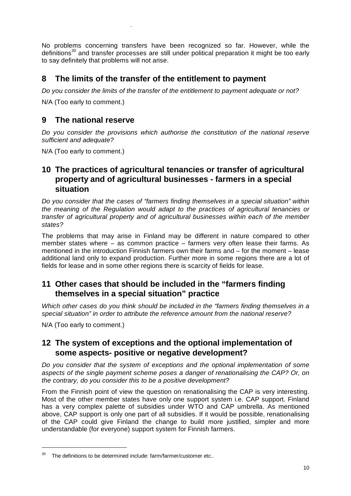No problems concerning transfers have been recognized so far. However, while the definitions<sup>30</sup> and transfer processes are still under political preparation it might be too early to say definitely that problems will not arise.

#### **8 The limits of the transfer of the entitlement to payment**

*Do you consider the limits of the transfer of the entitlement to payment adequate or not?* 

N/A (Too early to comment.)

.

## **9 The national reserve**

*Do you consider the provisions which authorise the constitution of the national reserve sufficient and adequate?* 

N/A (Too early to comment.)

## **10 The practices of agricultural tenancies or transfer of agricultural property and of agricultural businesses - farmers in a special situation**

*Do you consider that the cases of "farmers finding themselves in a special situation" within the meaning of the Regulation would adapt to the practices of agricultural tenancies or transfer of agricultural property and of agricultural businesses within each of the member states?* 

The problems that may arise in Finland may be different in nature compared to other member states where – as common practice – farmers very often lease their farms. As mentioned in the introduction Finnish farmers own their farms and – for the moment – lease additional land only to expand production. Further more in some regions there are a lot of fields for lease and in some other regions there is scarcity of fields for lease.

# **11 Other cases that should be included in the "farmers finding themselves in a special situation" practice**

*Which other cases do you think should be included in the "farmers finding themselves in a special situation" in order to attribute the reference amount from the national reserve?* 

N/A (Too early to comment.)

#### **12 The system of exceptions and the optional implementation of some aspects- positive or negative development?**

*Do you consider that the system of exceptions and the optional implementation of some aspects of the single payment scheme poses a danger of renationalising the CAP? Or, on the contrary, do you consider this to be a positive development?* 

From the Finnish point of view the question on renationalising the CAP is very interesting. Most of the other member states have only one support system i.e. CAP support. Finland has a very complex palette of subsidies under WTO and CAP umbrella. As mentioned above, CAP support is only one part of all subsidies. If it would be possible, renationalising of the CAP could give Finland the change to build more justified, simpler and more understandable (for everyone) support system for Finnish farmers.

 $30$  The definitions to be determined include: farm/farmer/customer etc..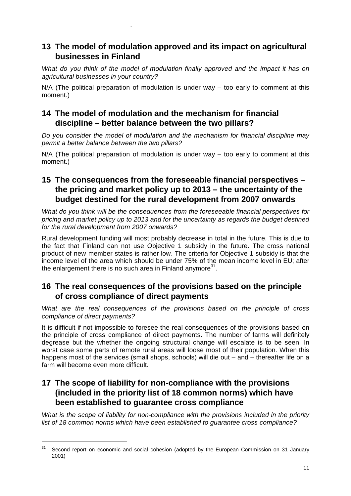## **13 The model of modulation approved and its impact on agricultural businesses in Finland**

*What do you think of the model of modulation finally approved and the impact it has on agricultural businesses in your country?* 

N/A (The political preparation of modulation is under way – too early to comment at this moment.)

## **14 The model of modulation and the mechanism for financial discipline – better balance between the two pillars?**

.

*Do you consider the model of modulation and the mechanism for financial discipline may permit a better balance between the two pillars?* 

N/A (The political preparation of modulation is under way – too early to comment at this moment.)

## **15 The consequences from the foreseeable financial perspectives – the pricing and market policy up to 2013 – the uncertainty of the budget destined for the rural development from 2007 onwards**

*What do you think will be the consequences from the foreseeable financial perspectives for pricing and market policy up to 2013 and for the uncertainty as regards the budget destined for the rural development from 2007 onwards?* 

Rural development funding will most probably decrease in total in the future. This is due to the fact that Finland can not use Objective 1 subsidy in the future. The cross national product of new member states is rather low. The criteria for Objective 1 subsidy is that the income level of the area which should be under 75% of the mean income level in EU; after the enlargement there is no such area in Finland anymore $31$ .

# **16 The real consequences of the provisions based on the principle of cross compliance of direct payments**

*What are the real consequences of the provisions based on the principle of cross compliance of direct payments?* 

It is difficult if not impossible to foresee the real consequences of the provisions based on the principle of cross compliance of direct payments. The number of farms will definitely degrease but the whether the ongoing structural change will escalate is to be seen. In worst case some parts of remote rural areas will loose most of their population. When this happens most of the services (small shops, schools) will die out – and – thereafter life on a farm will become even more difficult.

# **17 The scope of liability for non-compliance with the provisions (included in the priority list of 18 common norms) which have been established to guarantee cross compliance**

*What is the scope of liability for non-compliance with the provisions included in the priority list of 18 common norms which have been established to guarantee cross compliance?* 

 $31$  Second report on economic and social cohesion (adopted by the European Commission on 31 January 2001)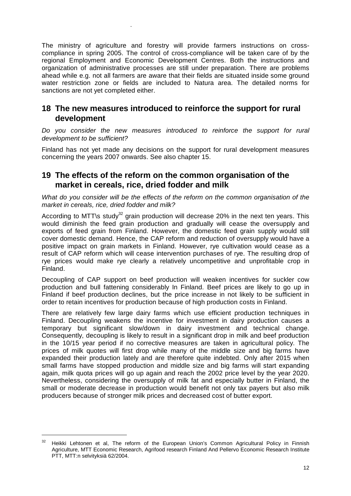The ministry of agriculture and forestry will provide farmers instructions on crosscompliance in spring 2005. The control of cross-compliance will be taken care of by the regional Employment and Economic Development Centres. Both the instructions and organization of administrative processes are still under preparation. There are problems ahead while e.g. not all farmers are aware that their fields are situated inside some ground water restriction zone or fields are included to Natura area. The detailed norms for sanctions are not yet completed either.

.

#### **18 The new measures introduced to reinforce the support for rural development**

*Do you consider the new measures introduced to reinforce the support for rural development to be sufficient?* 

Finland has not yet made any decisions on the support for rural development measures concerning the years 2007 onwards. See also chapter 15.

#### **19 The effects of the reform on the common organisation of the market in cereals, rice, dried fodder and milk**

*What do you consider will be the effects of the reform on the common organisation of the market in cereals, rice, dried fodder and milk?* 

According to MTT\s study<sup>32</sup> grain production will decrease 20% in the next ten years. This would diminish the feed grain production and gradually will cease the oversupply and exports of feed grain from Finland. However, the domestic feed grain supply would still cover domestic demand. Hence, the CAP reform and reduction of oversupply would have a positive impact on grain markets in Finland. However, rye cultivation would cease as a result of CAP reform which will cease intervention purchases of rye. The resulting drop of rye prices would make rye clearly a relatively uncompetitive and unprofitable crop in Finland.

Decoupling of CAP support on beef production will weaken incentives for suckler cow production and bull fattening considerably In Finland. Beef prices are likely to go up in Finland if beef production declines, but the price increase in not likely to be sufficient in order to retain incentives for production because of high production costs in Finland.

There are relatively few large dairy farms which use efficient production techniques in Finland. Decoupling weakens the incentive for investment in dairy production causes a temporary but significant slow/down in dairy investment and technical change. Consequently, decoupling is likely to result in a significant drop in milk and beef production in the 10/15 year period if no corrective measures are taken in agricultural policy. The prices of milk quotes will first drop while many of the middle size and big farms have expanded their production lately and are therefore quite indebted. Only after 2015 when small farms have stopped production and middle size and big farms will start expanding again, milk quota prices will go up again and reach the 2002 price level by the year 2020. Nevertheless, considering the oversupply of milk fat and especially butter in Finland, the small or moderate decrease in production would benefit not only tax payers but also milk producers because of stronger milk prices and decreased cost of butter export.

<sup>&</sup>lt;sup>32</sup> Heikki Lehtonen et al, The reform of the European Union's Common Agricultural Policy in Finnish Agriculture, MTT Economic Research, Agrifood research Finland And Pellervo Economic Research Institute PTT, MTT:n selvityksiä 62/2004.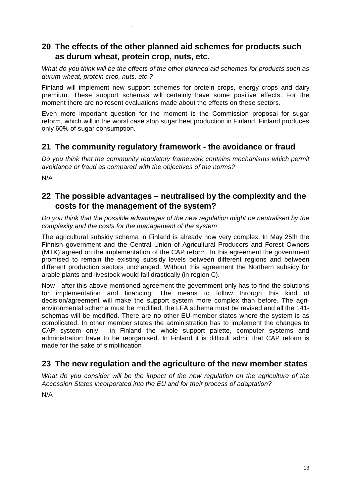## **20 The effects of the other planned aid schemes for products such as durum wheat, protein crop, nuts, etc.**

*What do you think will be the effects of the other planned aid schemes for products such as durum wheat, protein crop, nuts, etc.?* 

Finland will implement new support schemes for protein crops, energy crops and dairy premium. These support schemas will certainly have some positive effects. For the moment there are no resent evaluations made about the effects on these sectors.

Even more important question for the moment is the Commission proposal for sugar reform, which will in the worst case stop sugar beet production in Finland. Finland produces only 60% of sugar consumption.

#### **21 The community regulatory framework - the avoidance or fraud**

*Do you think that the community regulatory framework contains mechanisms which permit avoidance or fraud as compared with the objectives of the norms?* 

N/A

.

#### **22 The possible advantages – neutralised by the complexity and the costs for the management of the system?**

*Do you think that the possible advantages of the new regulation might be neutralised by the complexity and the costs for the management of the system* 

The agricultural subsidy schema in Finland is already now very complex. In May 25th the Finnish government and the Central Union of Agricultural Producers and Forest Owners (MTK) agreed on the implementation of the CAP reform. In this agreement the government promised to remain the existing subsidy levels between different regions and between different production sectors unchanged. Without this agreement the Northern subsidy for arable plants and livestock would fall drastically (in region C).

Now - after this above mentioned agreement the government only has to find the solutions for implementation and financing! The means to follow through this kind of decision/agreement will make the support system more complex than before. The agrienvironmental schema must be modified, the LFA schema must be revised and all the 141 schemas will be modified. There are no other EU-member states where the system is as complicated. In other member states the administration has to implement the changes to CAP system only - in Finland the whole support palette, computer systems and administration have to be reorganised. In Finland it is difficult admit that CAP reform is made for the sake of simplification

# **23 The new regulation and the agriculture of the new member states**

*What do you consider will be the impact of the new regulation on the agriculture of the Accession States incorporated into the EU and for their process of adaptation?* 

N/A